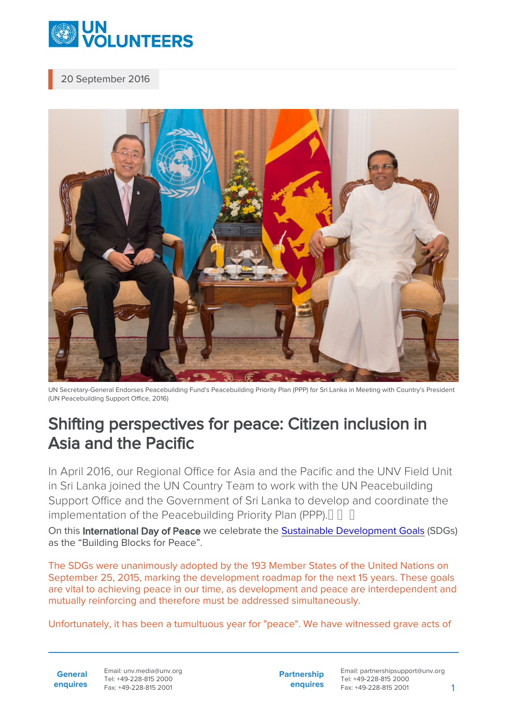

## 20 September 2016



UN Secretary-General Endorses Peacebuilding Fund's Peacebuilding Priority Plan (PPP) for Sri Lanka in Meeting with Country's President (UN Peacebuilding Support Office, 2016)

## Shifting perspectives for peace: Citizen inclusion in Asia and the Pacific

In April 2016, our Regional Office for Asia and the Pacific and the UNV Field Unit in Sri Lanka joined the UN Country Team to work with the UN Peacebuilding Support Office and the Government of Sri Lanka to develop and coordinate the implementation of the Peacebuilding Priority Plan (PPP). $\begin{bmatrix} \begin{bmatrix} \end{bmatrix} & \begin{bmatrix} \end{bmatrix} & \begin{bmatrix} \end{bmatrix} & \begin{bmatrix} \end{bmatrix} & \begin{bmatrix} \end{bmatrix} & \begin{bmatrix} \end{bmatrix} & \begin{bmatrix} \end{bmatrix} & \begin{bmatrix} \end{bmatrix} & \begin{bmatrix} \end{bmatrix} & \begin{bmatrix} \end{bmatrix} & \begin{bmatrix} \end{bmatrix} & \begin{bmatrix} \end{bmatrix} & \begin$ 

On this International Day of Peace we celebrate the [Sustainable Development Goals](http://www.un.org/ga/search/view_doc.asp?symbol=A/RES/70/1&Lang=E) (SDGs) as the "Building Blocks for Peace".

The SDGs were unanimously adopted by the 193 Member States of the United Nations on September 25, 2015, marking the development roadmap for the next 15 years. These goals are vital to achieving peace in our time, as development and peace are interdependent and mutually reinforcing and therefore must be addressed simultaneously.

Unfortunately, it has been a tumultuous year for "peace". We have witnessed grave acts of

**General enquires** **Partnership enquires**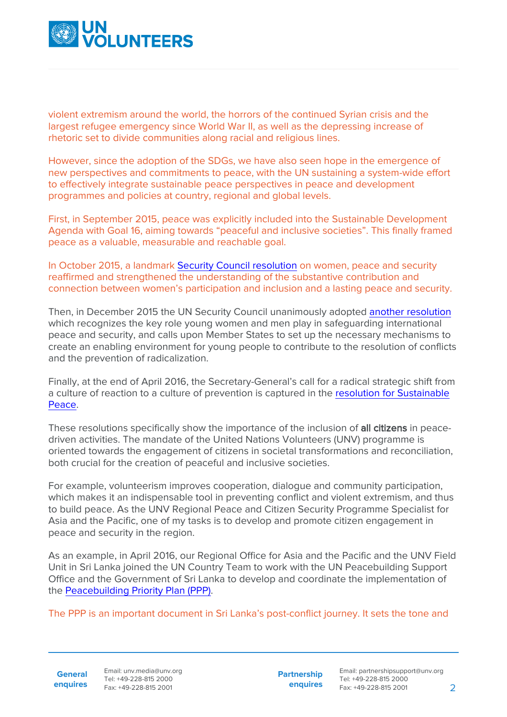

violent extremism around the world, the horrors of the continued Syrian crisis and the largest refugee emergency since World War II, as well as the depressing increase of rhetoric set to divide communities along racial and religious lines.

However, since the adoption of the SDGs, we have also seen hope in the emergence of new perspectives and commitments to peace, with the UN sustaining a system-wide effort to effectively integrate sustainable peace perspectives in peace and development programmes and policies at country, regional and global levels.

First, in September 2015, peace was explicitly included into the Sustainable Development Agenda with Goal 16, aiming towards "peaceful and inclusive societies". This finally framed peace as a valuable, measurable and reachable goal.

In October 2015, a landmark [Security Council resolution](https://www.securitycouncilreport.org/wp-content/uploads/s_res_2242.pdf) on women, peace and security reaffirmed and strengthened the understanding of the substantive contribution and connection between women's participation and inclusion and a lasting peace and security.

Then, in December 2015 the UN Security Council unanimously adopted [another resolution](https://www.securitycouncilreport.org/wp-content/uploads/s_res_2250.pdf) which recognizes the key role young women and men play in safeguarding international peace and security, and calls upon Member States to set up the necessary mechanisms to create an enabling environment for young people to contribute to the resolution of conflicts and the prevention of radicalization.

Finally, at the end of April 2016, the Secretary-General's call for a radical strategic shift from a culture of reaction to a culture of prevention is captured in the [resolution for Sustainable](http://www.un.org/press/en/2016/sc12340.doc.htm) [Peace](http://www.un.org/press/en/2016/sc12340.doc.htm).

These resolutions specifically show the importance of the inclusion of all citizens in peacedriven activities. The mandate of the United Nations Volunteers (UNV) programme is oriented towards the engagement of citizens in societal transformations and reconciliation, both crucial for the creation of peaceful and inclusive societies.

For example, volunteerism improves cooperation, dialogue and community participation, which makes it an indispensable tool in preventing conflict and violent extremism, and thus to build peace. As the UNV Regional Peace and Citizen Security Programme Specialist for Asia and the Pacific, one of my tasks is to develop and promote citizen engagement in peace and security in the region.

As an example, in April 2016, our Regional Office for Asia and the Pacific and the UNV Field Unit in Sri Lanka joined the UN Country Team to work with the UN Peacebuilding Support Office and the Government of Sri Lanka to develop and coordinate the implementation of the [Peacebuilding Priority Plan \(PPP\).](https://un-peacebuilding.tumblr.com/post/149799824015/un-secretary-general-endorses-peacebuilding)

The PPP is an important document in Sri Lanka's post-conflict journey. It sets the tone and

**General enquires**